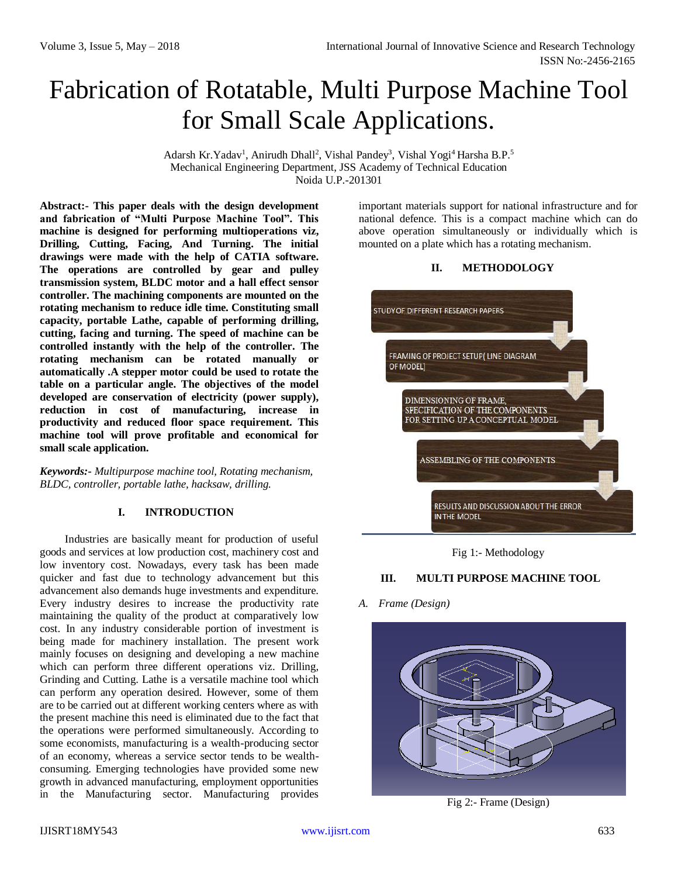# Fabrication of Rotatable, Multi Purpose Machine Tool for Small Scale Applications.

Adarsh Kr.Yadav<sup>1</sup>, Anirudh Dhall<sup>2</sup>, Vishal Pandey<sup>3</sup>, Vishal Yogi<sup>4</sup> Harsha B.P.<sup>5</sup> Mechanical Engineering Department, JSS Academy of Technical Education Noida U.P.-201301

**Abstract:- This paper deals with the design development and fabrication of "Multi Purpose Machine Tool". This machine is designed for performing multioperations viz, Drilling, Cutting, Facing, And Turning. The initial drawings were made with the help of CATIA software. The operations are controlled by gear and pulley transmission system, BLDC motor and a hall effect sensor controller. The machining components are mounted on the rotating mechanism to reduce idle time. Constituting small capacity, portable Lathe, capable of performing drilling, cutting, facing and turning. The speed of machine can be controlled instantly with the help of the controller. The rotating mechanism can be rotated manually or automatically .A stepper motor could be used to rotate the table on a particular angle. The objectives of the model developed are conservation of electricity (power supply), reduction in cost of manufacturing, increase in productivity and reduced floor space requirement. This machine tool will prove profitable and economical for small scale application.**

*Keywords:- Multipurpose machine tool, Rotating mechanism, BLDC, controller, portable lathe, hacksaw, drilling.*

#### **I. INTRODUCTION**

Industries are basically meant for production of useful goods and services at low production cost, machinery cost and low inventory cost. Nowadays, every task has been made quicker and fast due to technology advancement but this advancement also demands huge investments and expenditure. Every industry desires to increase the productivity rate maintaining the quality of the product at comparatively low cost. In any industry considerable portion of investment is being made for machinery installation. The present work mainly focuses on designing and developing a new machine which can perform three different operations viz. Drilling, Grinding and Cutting. Lathe is a versatile machine tool which can perform any operation desired. However, some of them are to be carried out at different working centers where as with the present machine this need is eliminated due to the fact that the operations were performed simultaneously. According to some economists, manufacturing is a wealth-producing sector of an economy, whereas a service sector tends to be wealthconsuming. Emerging technologies have provided some new growth in advanced manufacturing, employment opportunities in the Manufacturing sector. Manufacturing provides important materials support for national infrastructure and for national defence. This is a compact machine which can do above operation simultaneously or individually which is mounted on a plate which has a rotating mechanism.

#### **II. METHODOLOGY**



Fig 1:- Methodology

### **III. MULTI PURPOSE MACHINE TOOL**

#### *A. Frame (Design)*



Fig 2:- Frame (Design)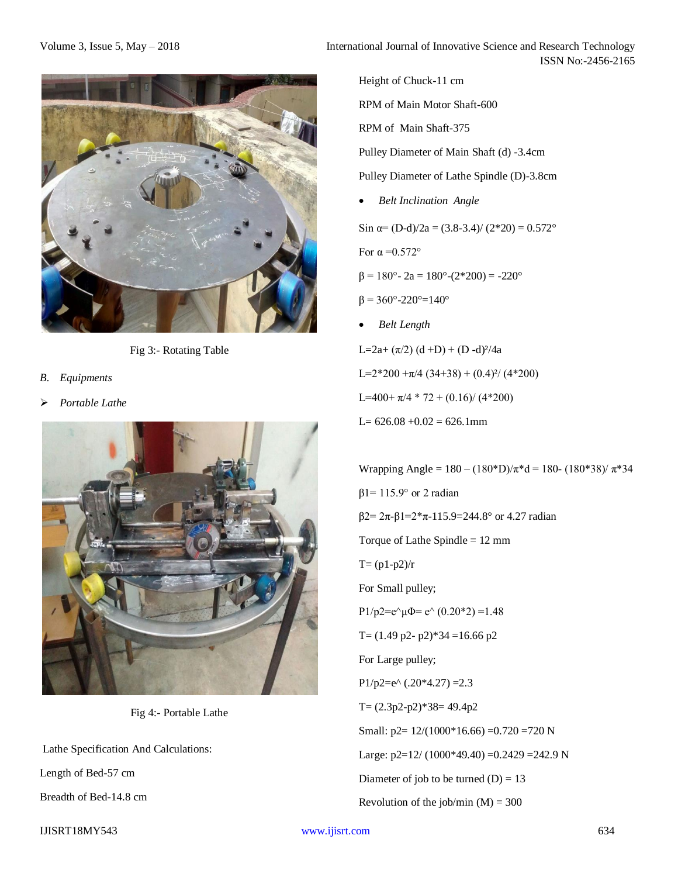

Fig 3:- Rotating Table

- *B. Equipments*
- *Portable Lathe*



Fig 4:- Portable Lathe

Lathe Specification And Calculations:

Length of Bed-57 cm

Breadth of Bed-14.8 cm

IJISRT18MY543 [www.ijisrt.com](http://www.ijisrt.com/) 634

Height of Chuck-11 cm RPM of Main Motor Shaft-600 RPM of Main Shaft-375 Pulley Diameter of Main Shaft (d) -3.4cm Pulley Diameter of Lathe Spindle (D)-3.8cm *Belt Inclination Angle* Sin  $\alpha$ = (D-d)/2a = (3.8-3.4)/ (2\*20) = 0.572° For  $\alpha = 0.572$ °  $β = 180° - 2a = 180° - (2*200) = -220°$  $β = 360°-220°=140°$  *Belt Length* L=2a+  $(\pi/2)$  (d +D) + (D -d)<sup>2</sup>/4a  $L=2*200 + \pi/4 (34+38) + (0.4)^2/(4*200)$ L=400+  $\pi$ /4 \* 72 + (0.16)/ (4\*200)  $L= 626.08 + 0.02 = 626.1$ mm Wrapping Angle =  $180 - (180^*D)/\pi^*d = 180 - (180^*38)/\pi^*34$ 

β1= 115.9° or 2 radian β2= 2π-β1=2\*π-115.9=244.8° or 4.27 radian Torque of Lathe Spindle = 12 mm  $T = (p1-p2)/r$ For Small pulley; P1/p2=e $\text{e}\text{u}\Phi$ = e $\text{o}(0.20*2)$  =1.48 T=  $(1.49 \text{ p2} - \text{ p2})$ \*34 =16.66 p2 For Large pulley; P1/p2=e $(0.20*4.27) = 2.3$  $T=(2.3p2-p2)*38=49.4p2$ Small:  $p2 = 12/(1000*16.66) = 0.720 = 720 N$ Large:  $p2=12/(1000*49.40) = 0.2429 = 242.9 N$ Diameter of job to be turned  $(D) = 13$ Revolution of the job/min  $(M) = 300$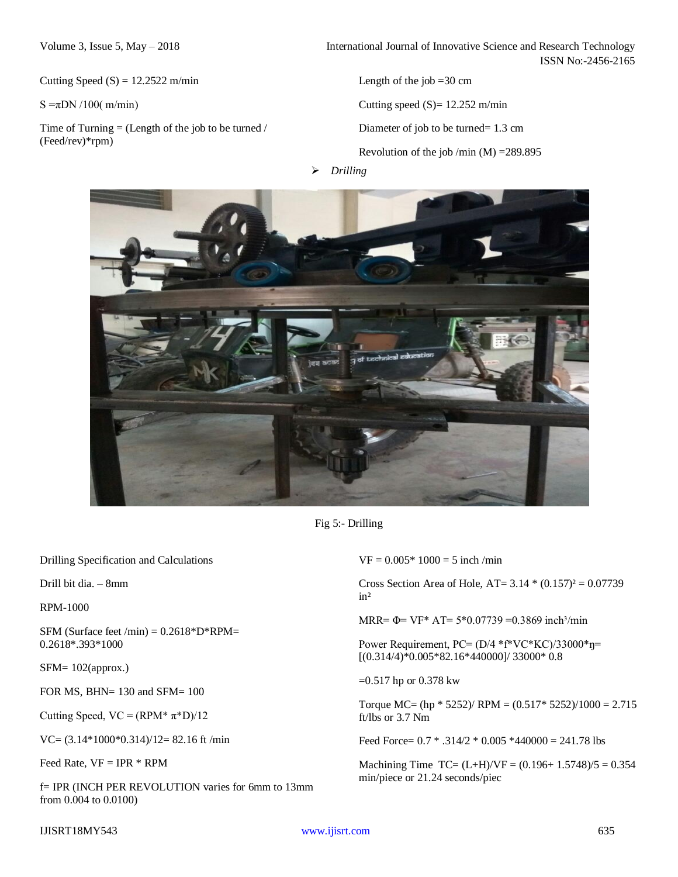Cutting Speed  $(S) = 12.2522$  m/min

 $S = \pi DN / 100$ ( m/min)

Time of Turning  $=$  (Length of the job to be turned / (Feed/rev)\*rpm)

Volume 3, Issue 5, May – 2018 **International Journal of Innovative Science and Research Technology** ISSN No:-2456-2165

Length of the job  $=30$  cm

Cutting speed  $(S) = 12.252$  m/min

Diameter of job to be turned= 1.3 cm

Revolution of the job /min  $(M)$  =289.895

*Drilling*



Fig 5:- Drilling

Drilling Specification and Calculations

Drill bit dia. – 8mm

RPM-1000

SFM (Surface feet /min) =  $0.2618^*D^*RPM=$ 0.2618\*.393\*1000

SFM= 102(approx.)

FOR MS, BHN= 130 and SFM=  $100$ 

Cutting Speed,  $VC = (RPM^* \pi^*D)/12$ 

VC= (3.14\*1000\*0.314)/12= 82.16 ft /min

Feed Rate,  $VF = IPR * RPM$ 

f= IPR (INCH PER REVOLUTION varies for 6mm to 13mm from 0.004 to 0.0100)

 $VF = 0.005*1000 = 5$  inch /min

Cross Section Area of Hole,  $AT = 3.14 * (0.157)^2 = 0.07739$ in²

MRR=  $\Phi$ = VF\* AT= 5\*0.07739 =0.3869 inch<sup>3</sup>/min

Power Requirement, PC= (D/4 \*f\*VC\*KC)/33000\*ŋ= [(0.314/4)\*0.005\*82.16\*440000]/ 33000\* 0.8

=0.517 hp or 0.378 kw

Torque MC= (hp  $*$  5252)/ RPM = (0.517 $*$  5252)/1000 = 2.715 ft/lbs or 3.7 Nm

Feed Force= 0.7 \* .314/2 \* 0.005 \*440000 = 241.78 lbs

Machining Time TC=  $(L+H)/VF = (0.196+1.5748)/5 = 0.354$ min/piece or 21.24 seconds/piec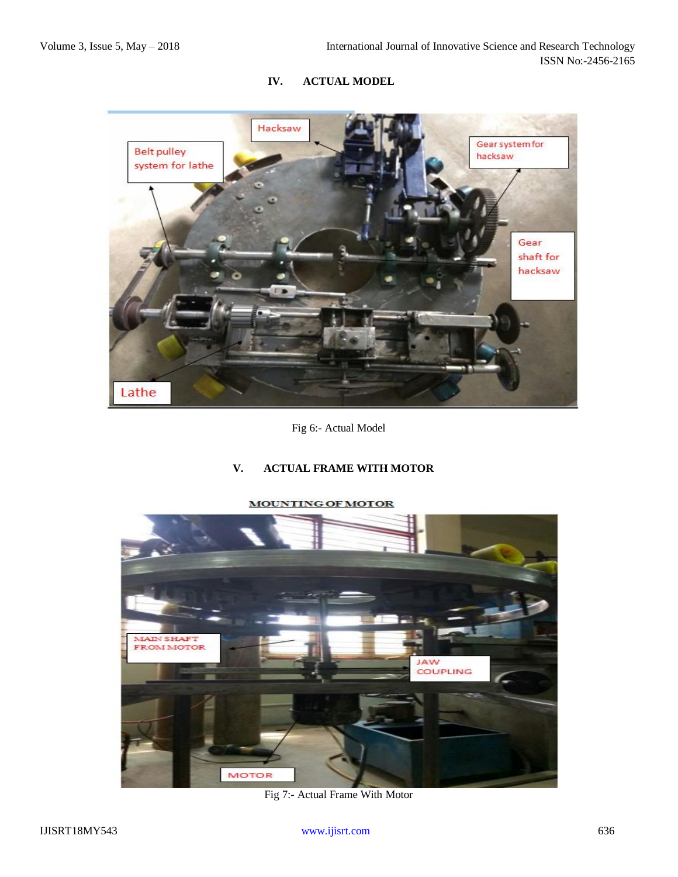# **IV. ACTUAL MODEL**



Fig 6:- Actual Model

## **V. ACTUAL FRAME WITH MOTOR**



#### **MOUNTING OF MOTOR**

Fig 7:- Actual Frame With Motor